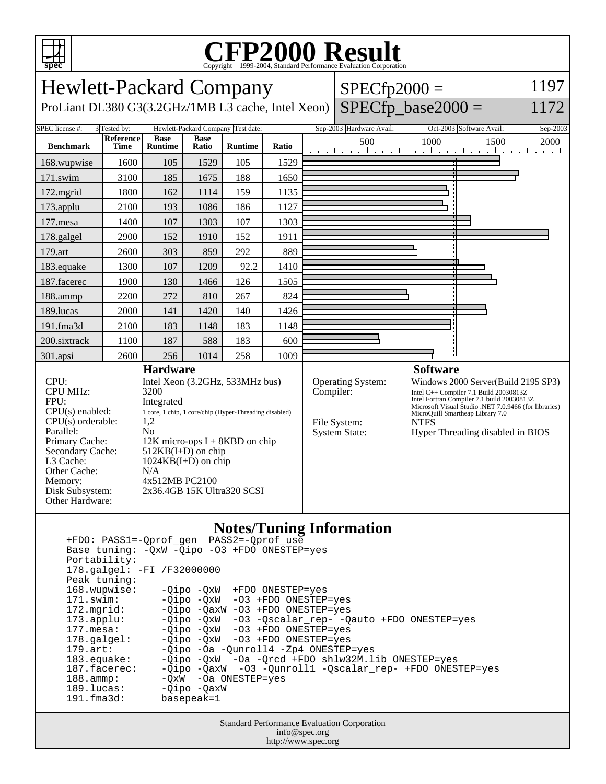

## Copyright ©1999-2004, Standard Performance Evaluation Corporation

Hewlett-Packard Company ProLiant DL380 G3(3.2GHz/1MB L3 cache, Intel Xeon)  $SPECfp2000 =$  $SPECfp\_base2000 =$ 1197 1172 SPEC license #: 3 Tested by: Hewlett-Packard Company Test date: Sep-2003 Hardware Avail: Oct-2003 Software Avail: Sep-2003 **Benchmark Reference Time Base Runtime Base Ratio Runtime Ratio** 500 1000 1500 2000 168.wupwise 1600 105 1529 105 1529 171.swim | 3100 | 185 | 1675 | 188 | 1650 172.mgrid | 1800 | 162 | 1114 | 159 | 1135 173.applu | 2100 | 193 | 1086 | 186 | 1127 177.mesa | 1400 | 107 | 1303 | 107 | 1303 178.galgel | 2900 | 152 | 1910 | 152 | 1911 179.art | 2600 | 303 | 859 | 292 | 889 183.equake 1300 107 1209 92.2 1410 187.facerec | 1900 | 130 | 1466 | 126 | 1505 188.ammp | 2200 | 272 | 810 | 267 | 824 189.lucas | 2000 | 141 | 1420 | 140 | 1426 191.fma3d | 2100 | 183 | 1148 | 183 | 1148 200.sixtrack 1100 187 588 183 600 301.apsi | 2600 | 256 | 1014 | 258 | 1009 **Hardware** CPU: Intel Xeon (3.2GHz, 533MHz bus) CPU MHz: 3200 FPU: Integrated CPU(s) enabled: 1 core, 1 chip, 1 core/chip (Hyper-Threading disabled)<br>CPU(s) orderable: 1,2  $CPU(s)$  orderable: Parallel: No Primary Cache: 12K micro-ops I + 8KBD on chip Secondary Cache: 512KB(I+D) on chip<br>L3 Cache: 1024KB(I+D) on chii  $1024KB(I+D)$  on chip Other Cache: N/A Memory: 4x512MB PC2100 Disk Subsystem: 2x36.4GB 15K Ultra320 SCSI Other Hardware: **Software** Operating System: Windows 2000 Server(Build 2195 SP3) Compiler: Intel C++ Compiler 7.1 Build 20030813Z Intel Fortran Compiler 7.1 build 20030813Z Microsoft Visual Studio .NET 7.0.9466 (for libraries) MicroQuill Smartheap Library 7.0 File System: NTFS System State: Hyper Threading disabled in BIOS

#### **Notes/Tuning Information**

 +FDO: PASS1=-Qprof\_gen PASS2=-Qprof\_use Base tuning: -QxW -Qipo -O3 +FDO ONESTEP=yes Portability: 178.galgel: -FI /F32000000 Peak tuning: 168.wupwise: -Qipo -QxW +FDO ONESTEP=yes 171.swim: -Qipo -QxW -O3 +FDO ONESTEP=yes 172.mgrid: -Qipo -QaxW -O3 +FDO ONESTEP=yes<br>173.applu: -Qipo -QxW -O3 -Qscalar\_rep- -Q 173.applu: -Qipo -QxW -O3 -Qscalar\_rep- -Qauto +FDO ONESTEP=yes<br>177.mesa: - -Qipo -QxW -O3 +FDO ONESTEP=yes -Qipo -QxW -O3 +FDO ONESTEP=yes 178.galgel: -Qipo -QxW -O3 +FDO ONESTEP=yes 179.art: -Qipo -Oa -Qunroll4 -Zp4 ONESTEP=yes<br>183.equake: -Qipo -QxW -Oa -Orcd +FDO shlw32M.l. 183.equake: -Qipo -QxW -Oa -Qrcd +FDO shlw32M.lib ONESTEP=yes 187.facerec: -Qipo -QaxW -O3 -Qunroll1 -Qscalar\_rep- +FDO ONESTEP=yes 188.ammp: -QxW -Oa ONESTEP=yes 189.lucas: - Qipo - QaxW 191.fma3d: basepeak=1

> Standard Performance Evaluation Corporation info@spec.org http://www.spec.org